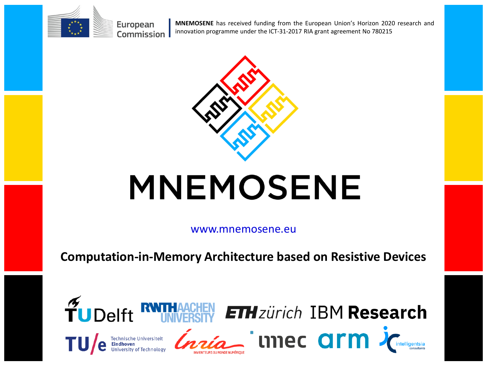

**MNEMOSENE** has received funding from the European Union's Horizon 2020 research and innovation programme under the ICT-31-2017 RIA grant agreement No 780215



# **MNEMOSENE**

www.mnemosene.eu

**Computation-in-Memory Architecture based on Resistive Devices**

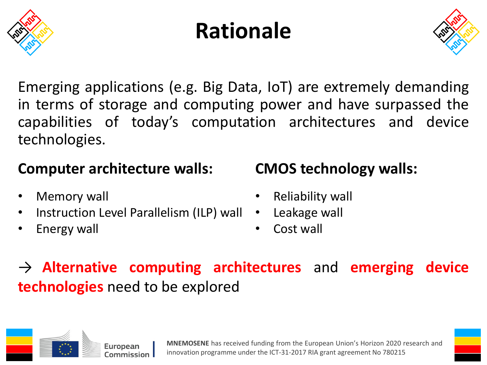

### **Rationale**



Emerging applications (e.g. Big Data, IoT) are extremely demanding in terms of storage and computing power and have surpassed the capabilities of today's computation architectures and device technologies.

#### **Computer architecture walls:**

- Memory wall
- Instruction Level Parallelism (ILP) wall
- Energy wall

#### **CMOS technology walls:**

- Reliability wall
- Leakage wall
- Cost wall

→ **Alternative computing architectures** and **emerging device technologies** need to be explored

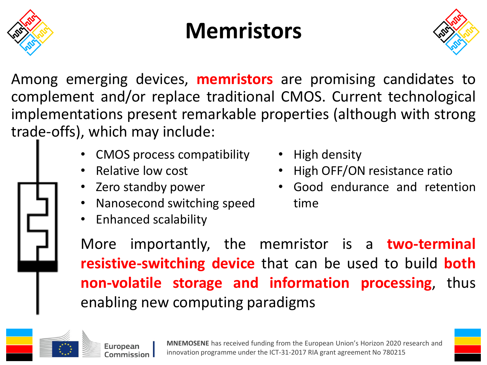

### **Memristors**



Among emerging devices, **memristors** are promising candidates to complement and/or replace traditional CMOS. Current technological implementations present remarkable properties (although with strong trade-offs), which may include:

- CMOS process compatibility
- Relative low cost
- Zero standby power
- Nanosecond switching speed
- Enhanced scalability
- High density
- High OFF/ON resistance ratio
- Good endurance and retention time

More importantly, the memristor is a **two-terminal resistive-switching device** that can be used to build **both non-volatile storage and information processing**, thus enabling new computing paradigms

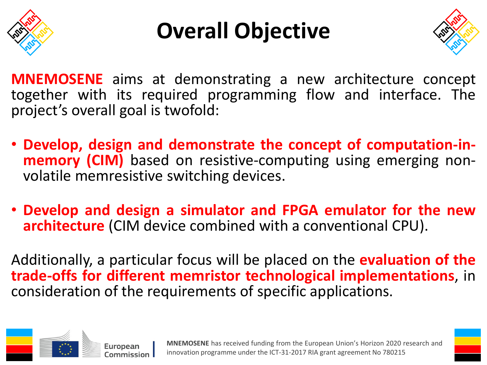

### **Overall Objective**



**MNEMOSENE** aims at demonstrating a new architecture concept together with its required programming flow and interface. The project's overall goal is twofold:

- **Develop, design and demonstrate the concept of computation-inmemory (CIM)** based on resistive-computing using emerging nonvolatile memresistive switching devices.
- **Develop and design a simulator and FPGA emulator for the new architecture** (CIM device combined with a conventional CPU).

Additionally, a particular focus will be placed on the **evaluation of the trade-offs for different memristor technological implementations**, in consideration of the requirements of specific applications.

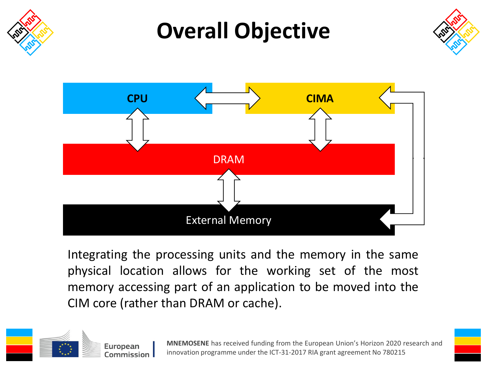

Integrating the processing units and the memory in the same physical location allows for the working set of the most memory accessing part of an application to be moved into the CIM core (rather than DRAM or cache).

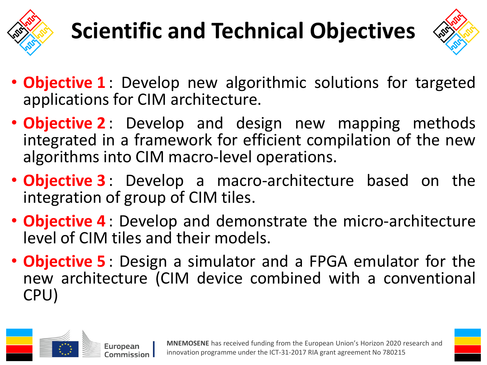

## **Scientific and Technical Objectives**



- **Objective 1** : Develop new algorithmic solutions for targeted applications for CIM architecture.
- **Objective 2** : Develop and design new mapping methods integrated in a framework for efficient compilation of the new algorithms into CIM macro-level operations.
- **Objective 3** : Develop a macro-architecture based on the integration of group of CIM tiles.
- **Objective 4** : Develop and demonstrate the micro-architecture level of CIM tiles and their models.
- **Objective 5** : Design a simulator and a FPGA emulator for the new architecture (CIM device combined with a conventional CPU)

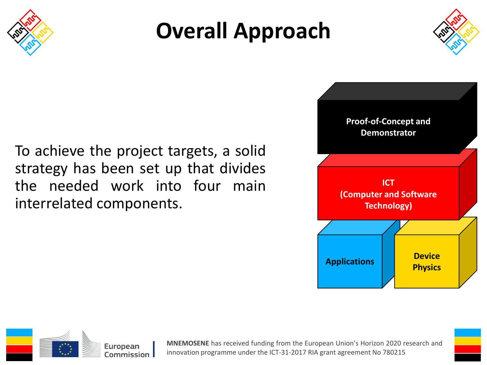



To achieve the project targets, a solid strategy has been set up that divides the needed work into four main interrelated components.





European Commission I

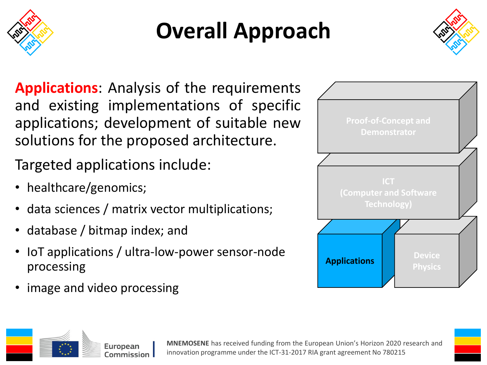



**Applications**: Analysis of the requirements and existing implementations of specific applications; development of suitable new solutions for the proposed architecture.

Targeted applications include:

- healthcare/genomics;
- data sciences / matrix vector multiplications;
- database / bitmap index; and
- IoT applications / ultra-low-power sensor-node processing
- image and video processing



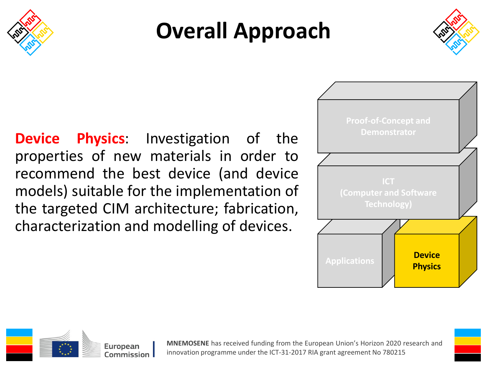



**Device Physics**: Investigation of the properties of new materials in order to recommend the best device (and device models) suitable for the implementation of the targeted CIM architecture; fabrication, characterization and modelling of devices.





European Commission |

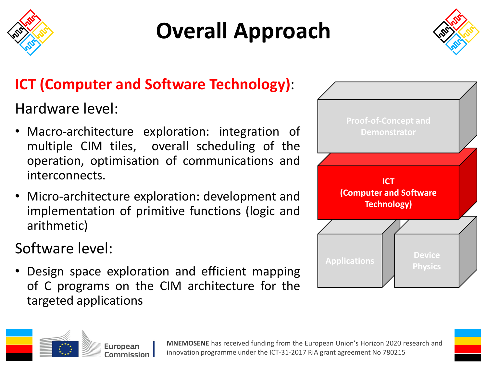



#### **ICT (Computer and Software Technology)**:

Hardware level:

- Macro-architecture exploration: integration of multiple CIM tiles, overall scheduling of the operation, optimisation of communications and interconnects.
- Micro-architecture exploration: development and implementation of primitive functions (logic and arithmetic)

Software level:

• Design space exploration and efficient mapping of C programs on the CIM architecture for the targeted applications



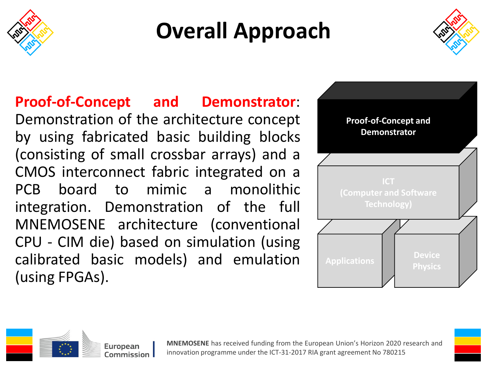



**Proof-of-Concept and Demonstrator**: Demonstration of the architecture concept by using fabricated basic building blocks (consisting of small crossbar arrays) and a CMOS interconnect fabric integrated on a PCB board to mimic a monolithic integration. Demonstration of the full MNEMOSENE architecture (conventional CPU - CIM die) based on simulation (using calibrated basic models) and emulation (using FPGAs).





European Commission I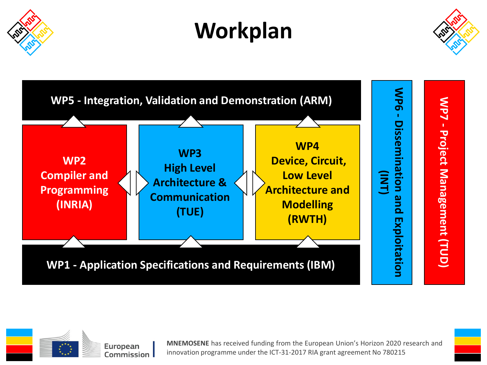

### **Workplan**





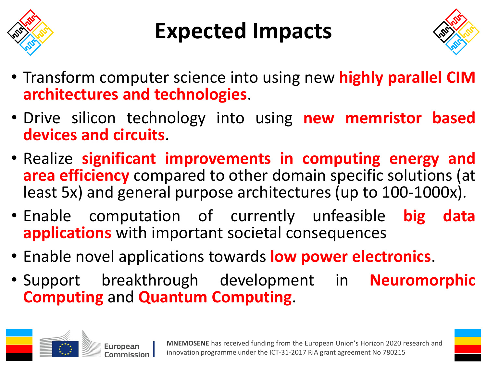

### **Expected Impacts**



- Transform computer science into using new **highly parallel CIM architectures and technologies**.
- Drive silicon technology into using **new memristor based devices and circuits**.
- Realize **significant improvements in computing energy and area efficiency** compared to other domain specific solutions (at least 5x) and general purpose architectures (up to 100-1000x).
- Enable computation of currently unfeasible **big data applications** with important societal consequences
- Enable novel applications towards **low power electronics**.
- Support breakthrough development in **Neuromorphic Computing** and **Quantum Computing**.

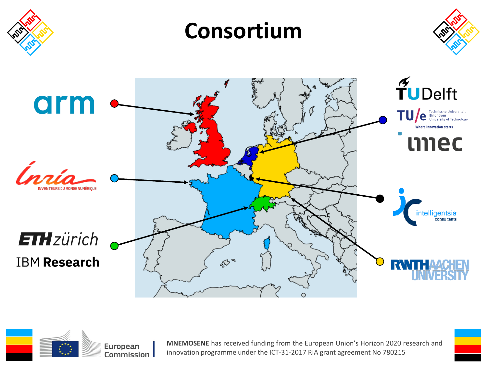



European Commission |